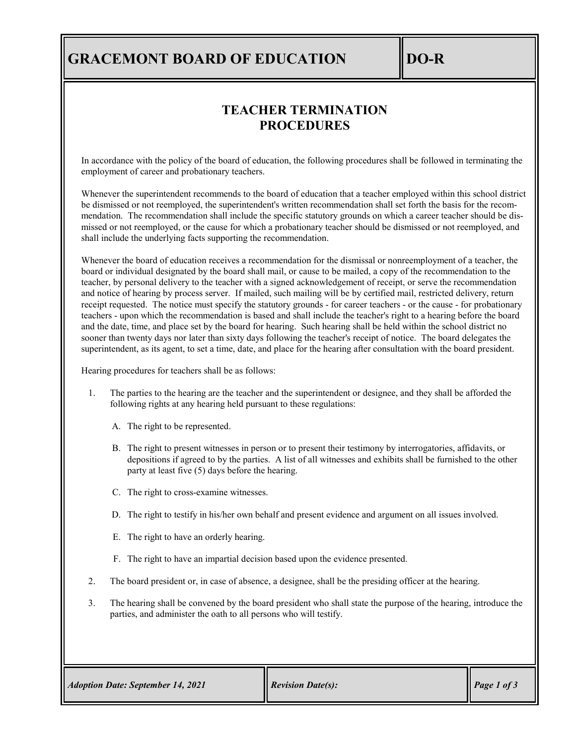# **GRACEMONT BOARD OF EDUCATION DO-R**

### **TEACHER TERMINATION PROCEDURES**

In accordance with the policy of the board of education, the following procedures shall be followed in terminating the employment of career and probationary teachers.

Whenever the superintendent recommends to the board of education that a teacher employed within this school district be dismissed or not reemployed, the superintendent's written recommendation shall set forth the basis for the recommendation. The recommendation shall include the specific statutory grounds on which a career teacher should be dismissed or not reemployed, or the cause for which a probationary teacher should be dismissed or not reemployed, and shall include the underlying facts supporting the recommendation.

Whenever the board of education receives a recommendation for the dismissal or nonreemployment of a teacher, the board or individual designated by the board shall mail, or cause to be mailed, a copy of the recommendation to the teacher, by personal delivery to the teacher with a signed acknowledgement of receipt, or serve the recommendation and notice of hearing by process server. If mailed, such mailing will be by certified mail, restricted delivery, return receipt requested. The notice must specify the statutory grounds - for career teachers - or the cause - for probationary teachers - upon which the recommendation is based and shall include the teacher's right to a hearing before the board and the date, time, and place set by the board for hearing. Such hearing shall be held within the school district no sooner than twenty days nor later than sixty days following the teacher's receipt of notice. The board delegates the superintendent, as its agent, to set a time, date, and place for the hearing after consultation with the board president.

Hearing procedures for teachers shall be as follows:

- 1. The parties to the hearing are the teacher and the superintendent or designee, and they shall be afforded the following rights at any hearing held pursuant to these regulations:
	- A. The right to be represented.
	- B. The right to present witnesses in person or to present their testimony by interrogatories, affidavits, or depositions if agreed to by the parties. A list of all witnesses and exhibits shall be furnished to the other party at least five (5) days before the hearing.
	- C. The right to cross-examine witnesses.
	- D. The right to testify in his/her own behalf and present evidence and argument on all issues involved.
	- E. The right to have an orderly hearing.
	- F. The right to have an impartial decision based upon the evidence presented.
- 2. The board president or, in case of absence, a designee, shall be the presiding officer at the hearing.
- 3. The hearing shall be convened by the board president who shall state the purpose of the hearing, introduce the parties, and administer the oath to all persons who will testify.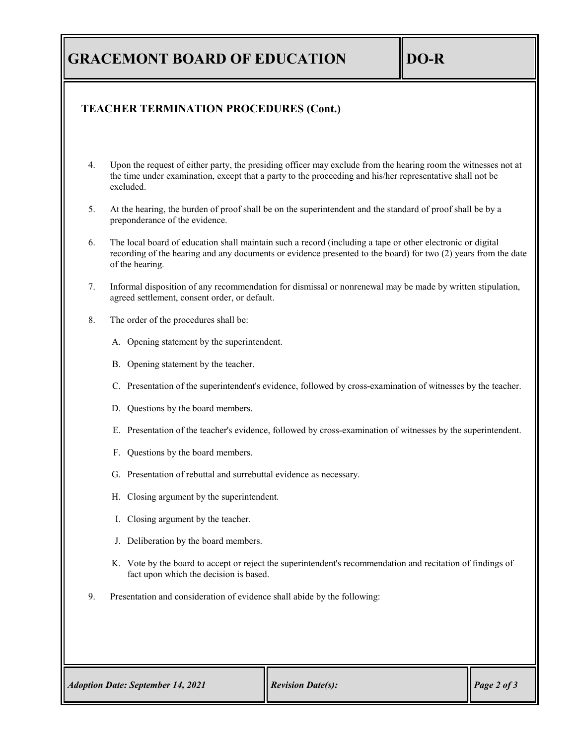# **GRACEMONT BOARD OF EDUCATION DO-R**

### **TEACHER TERMINATION PROCEDURES (Cont.)**

- 4. Upon the request of either party, the presiding officer may exclude from the hearing room the witnesses not at the time under examination, except that a party to the proceeding and his/her representative shall not be excluded.
- 5. At the hearing, the burden of proof shall be on the superintendent and the standard of proof shall be by a preponderance of the evidence.
- 6. The local board of education shall maintain such a record (including a tape or other electronic or digital recording of the hearing and any documents or evidence presented to the board) for two (2) years from the date of the hearing.
- 7. Informal disposition of any recommendation for dismissal or nonrenewal may be made by written stipulation, agreed settlement, consent order, or default.
- 8. The order of the procedures shall be:
	- A. Opening statement by the superintendent.
	- B. Opening statement by the teacher.
	- C. Presentation of the superintendent's evidence, followed by cross-examination of witnesses by the teacher.
	- D. Questions by the board members.
	- E. Presentation of the teacher's evidence, followed by cross-examination of witnesses by the superintendent.
	- F. Questions by the board members.
	- G. Presentation of rebuttal and surrebuttal evidence as necessary.
	- H. Closing argument by the superintendent.
	- I. Closing argument by the teacher.
	- J. Deliberation by the board members.
	- K. Vote by the board to accept or reject the superintendent's recommendation and recitation of findings of fact upon which the decision is based.
- 9. Presentation and consideration of evidence shall abide by the following: